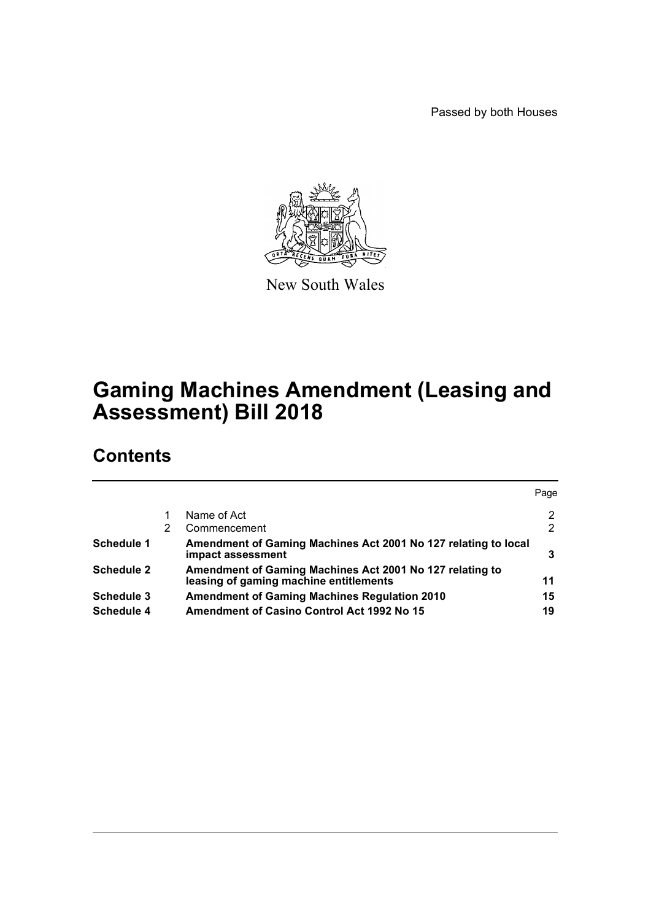Passed by both Houses



New South Wales

# **Gaming Machines Amendment (Leasing and Assessment) Bill 2018**

# **Contents**

|            |   |                                                                                                    | Page           |
|------------|---|----------------------------------------------------------------------------------------------------|----------------|
|            |   | Name of Act                                                                                        | 2              |
|            | 2 | Commencement                                                                                       | $\overline{2}$ |
| Schedule 1 |   | Amendment of Gaming Machines Act 2001 No 127 relating to local<br>impact assessment                | 3              |
| Schedule 2 |   | Amendment of Gaming Machines Act 2001 No 127 relating to<br>leasing of gaming machine entitlements | 11             |
| Schedule 3 |   | <b>Amendment of Gaming Machines Regulation 2010</b>                                                | 15             |
| Schedule 4 |   | <b>Amendment of Casino Control Act 1992 No 15</b>                                                  | 19             |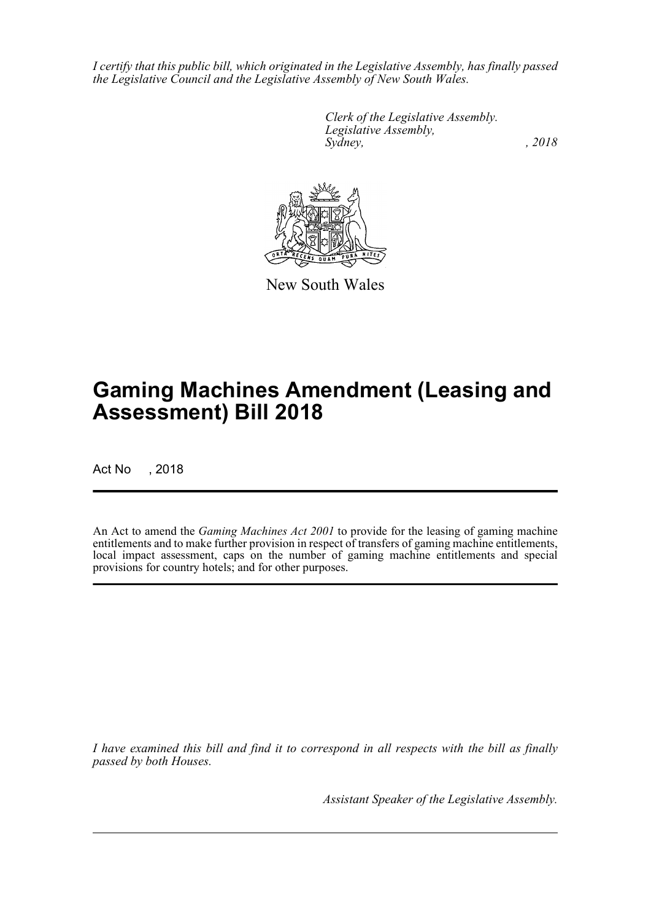*I certify that this public bill, which originated in the Legislative Assembly, has finally passed the Legislative Council and the Legislative Assembly of New South Wales.*

> *Clerk of the Legislative Assembly. Legislative Assembly, Sydney, , 2018*



New South Wales

# **Gaming Machines Amendment (Leasing and Assessment) Bill 2018**

Act No , 2018

An Act to amend the *Gaming Machines Act 2001* to provide for the leasing of gaming machine entitlements and to make further provision in respect of transfers of gaming machine entitlements, local impact assessment, caps on the number of gaming machine entitlements and special provisions for country hotels; and for other purposes.

*I have examined this bill and find it to correspond in all respects with the bill as finally passed by both Houses.*

*Assistant Speaker of the Legislative Assembly.*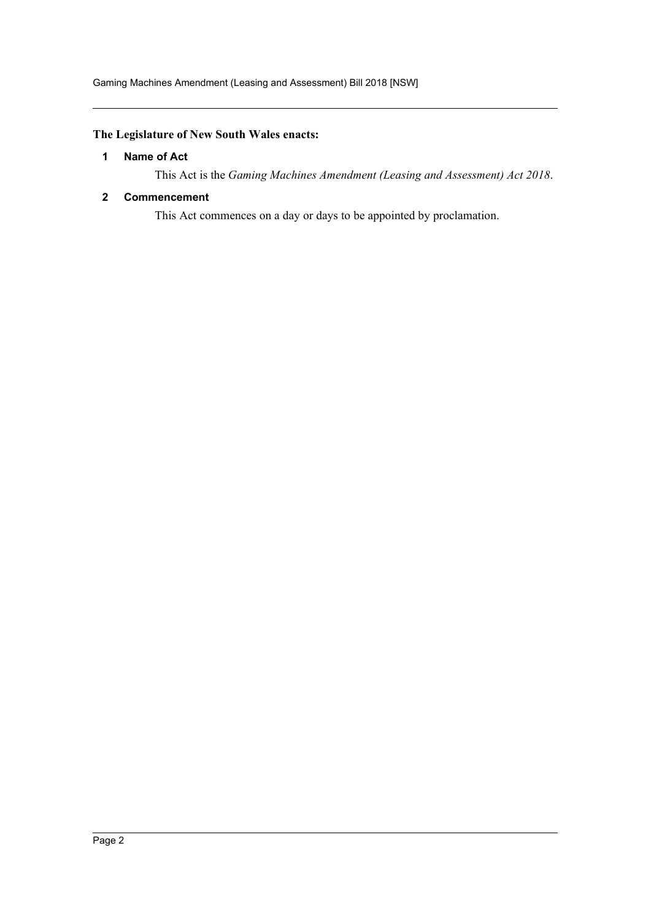# <span id="page-2-0"></span>**The Legislature of New South Wales enacts:**

### **1 Name of Act**

This Act is the *Gaming Machines Amendment (Leasing and Assessment) Act 2018*.

### <span id="page-2-1"></span>**2 Commencement**

This Act commences on a day or days to be appointed by proclamation.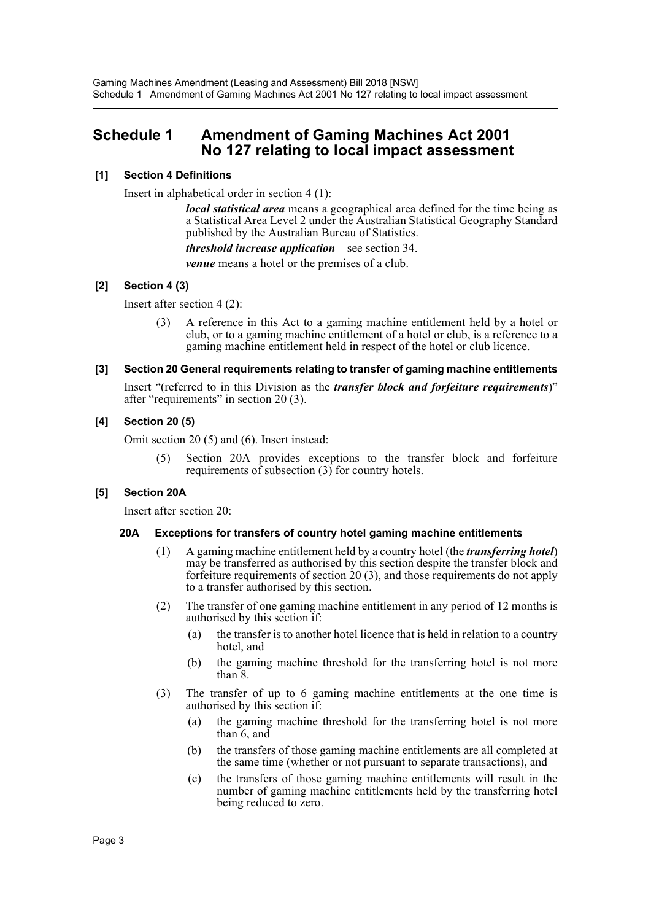# <span id="page-3-0"></span>**Schedule 1 Amendment of Gaming Machines Act 2001 No 127 relating to local impact assessment**

### **[1] Section 4 Definitions**

Insert in alphabetical order in section 4 (1):

*local statistical area* means a geographical area defined for the time being as a Statistical Area Level 2 under the Australian Statistical Geography Standard published by the Australian Bureau of Statistics.

*threshold increase application*—see section 34.

*venue* means a hotel or the premises of a club.

### **[2] Section 4 (3)**

Insert after section 4 (2):

(3) A reference in this Act to a gaming machine entitlement held by a hotel or club, or to a gaming machine entitlement of a hotel or club, is a reference to a gaming machine entitlement held in respect of the hotel or club licence.

### **[3] Section 20 General requirements relating to transfer of gaming machine entitlements**

Insert "(referred to in this Division as the *transfer block and forfeiture requirements*)" after "requirements" in section 20 (3).

### **[4] Section 20 (5)**

Omit section 20 (5) and (6). Insert instead:

Section 20A provides exceptions to the transfer block and forfeiture requirements of subsection  $(3)$  for country hotels.

# **[5] Section 20A**

Insert after section 20:

### **20A Exceptions for transfers of country hotel gaming machine entitlements**

- (1) A gaming machine entitlement held by a country hotel (the *transferring hotel*) may be transferred as authorised by this section despite the transfer block and forfeiture requirements of section  $20(3)$ , and those requirements do not apply to a transfer authorised by this section.
- (2) The transfer of one gaming machine entitlement in any period of 12 months is authorised by this section if:
	- (a) the transfer is to another hotel licence that is held in relation to a country hotel, and
	- (b) the gaming machine threshold for the transferring hotel is not more than 8.
- (3) The transfer of up to 6 gaming machine entitlements at the one time is authorised by this section if:
	- (a) the gaming machine threshold for the transferring hotel is not more than 6, and
	- (b) the transfers of those gaming machine entitlements are all completed at the same time (whether or not pursuant to separate transactions), and
	- (c) the transfers of those gaming machine entitlements will result in the number of gaming machine entitlements held by the transferring hotel being reduced to zero.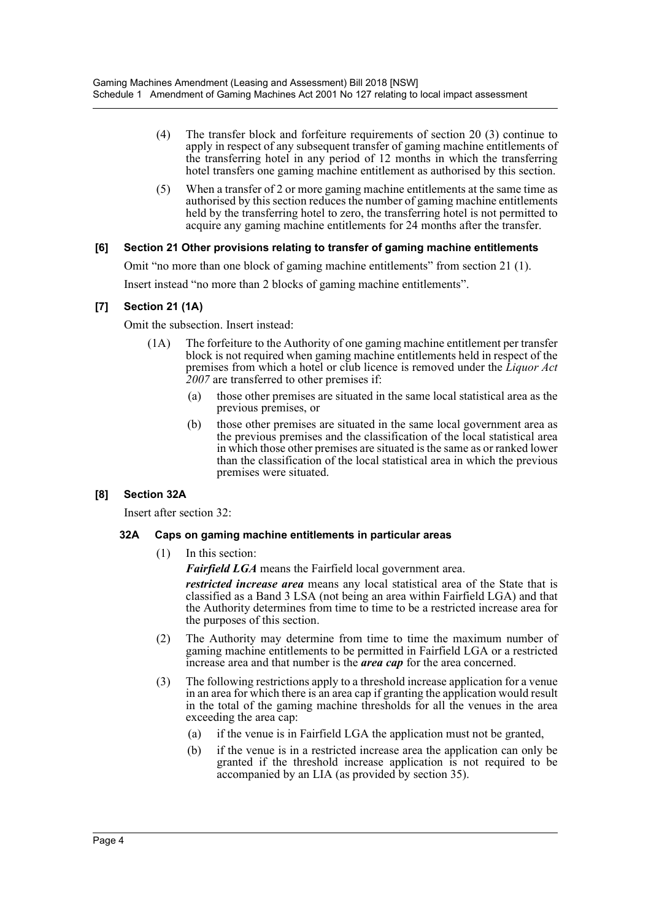- (4) The transfer block and forfeiture requirements of section 20 (3) continue to apply in respect of any subsequent transfer of gaming machine entitlements of the transferring hotel in any period of 12 months in which the transferring hotel transfers one gaming machine entitlement as authorised by this section.
- (5) When a transfer of 2 or more gaming machine entitlements at the same time as authorised by this section reduces the number of gaming machine entitlements held by the transferring hotel to zero, the transferring hotel is not permitted to acquire any gaming machine entitlements for 24 months after the transfer.

### **[6] Section 21 Other provisions relating to transfer of gaming machine entitlements**

Omit "no more than one block of gaming machine entitlements" from section 21 (1). Insert instead "no more than 2 blocks of gaming machine entitlements".

### **[7] Section 21 (1A)**

Omit the subsection. Insert instead:

- (1A) The forfeiture to the Authority of one gaming machine entitlement per transfer block is not required when gaming machine entitlements held in respect of the premises from which a hotel or club licence is removed under the *Liquor Act 2007* are transferred to other premises if:
	- (a) those other premises are situated in the same local statistical area as the previous premises, or
	- (b) those other premises are situated in the same local government area as the previous premises and the classification of the local statistical area in which those other premises are situated is the same as or ranked lower than the classification of the local statistical area in which the previous premises were situated.

# **[8] Section 32A**

Insert after section 32:

### **32A Caps on gaming machine entitlements in particular areas**

(1) In this section:

*Fairfield LGA* means the Fairfield local government area.

*restricted increase area* means any local statistical area of the State that is classified as a Band 3 LSA (not being an area within Fairfield LGA) and that the Authority determines from time to time to be a restricted increase area for the purposes of this section.

- (2) The Authority may determine from time to time the maximum number of gaming machine entitlements to be permitted in Fairfield LGA or a restricted increase area and that number is the *area cap* for the area concerned.
- (3) The following restrictions apply to a threshold increase application for a venue in an area for which there is an area cap if granting the application would result in the total of the gaming machine thresholds for all the venues in the area exceeding the area cap:
	- (a) if the venue is in Fairfield LGA the application must not be granted,
	- (b) if the venue is in a restricted increase area the application can only be granted if the threshold increase application is not required to be accompanied by an LIA (as provided by section 35).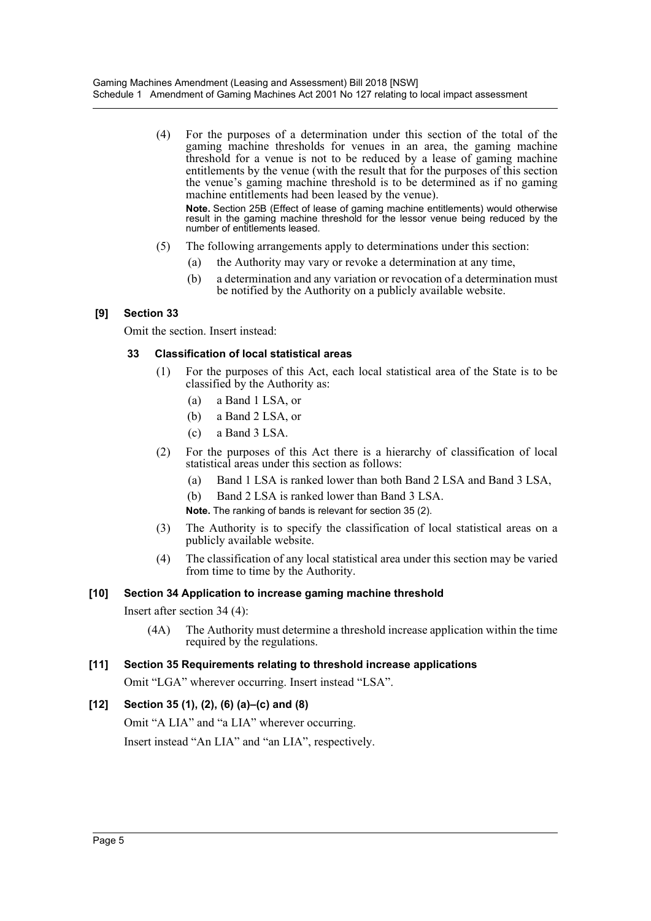(4) For the purposes of a determination under this section of the total of the gaming machine thresholds for venues in an area, the gaming machine threshold for a venue is not to be reduced by a lease of gaming machine entitlements by the venue (with the result that for the purposes of this section the venue's gaming machine threshold is to be determined as if no gaming machine entitlements had been leased by the venue).

**Note.** Section 25B (Effect of lease of gaming machine entitlements) would otherwise result in the gaming machine threshold for the lessor venue being reduced by the number of entitlements leased.

- (5) The following arrangements apply to determinations under this section:
	- (a) the Authority may vary or revoke a determination at any time,
	- (b) a determination and any variation or revocation of a determination must be notified by the Authority on a publicly available website.

# **[9] Section 33**

Omit the section. Insert instead:

# **33 Classification of local statistical areas**

- (1) For the purposes of this Act, each local statistical area of the State is to be classified by the Authority as:
	- (a) a Band 1 LSA, or
	- (b) a Band 2 LSA, or
	- (c) a Band 3 LSA.
- (2) For the purposes of this Act there is a hierarchy of classification of local statistical areas under this section as follows:
	- (a) Band 1 LSA is ranked lower than both Band 2 LSA and Band 3 LSA,
	- (b) Band 2 LSA is ranked lower than Band 3 LSA.

**Note.** The ranking of bands is relevant for section 35 (2).

- (3) The Authority is to specify the classification of local statistical areas on a publicly available website.
- (4) The classification of any local statistical area under this section may be varied from time to time by the Authority.

# **[10] Section 34 Application to increase gaming machine threshold**

- Insert after section 34 (4):
	- (4A) The Authority must determine a threshold increase application within the time required by the regulations.

# **[11] Section 35 Requirements relating to threshold increase applications**

Omit "LGA" wherever occurring. Insert instead "LSA".

# **[12] Section 35 (1), (2), (6) (a)–(c) and (8)**

Omit "A LIA" and "a LIA" wherever occurring.

Insert instead "An LIA" and "an LIA", respectively.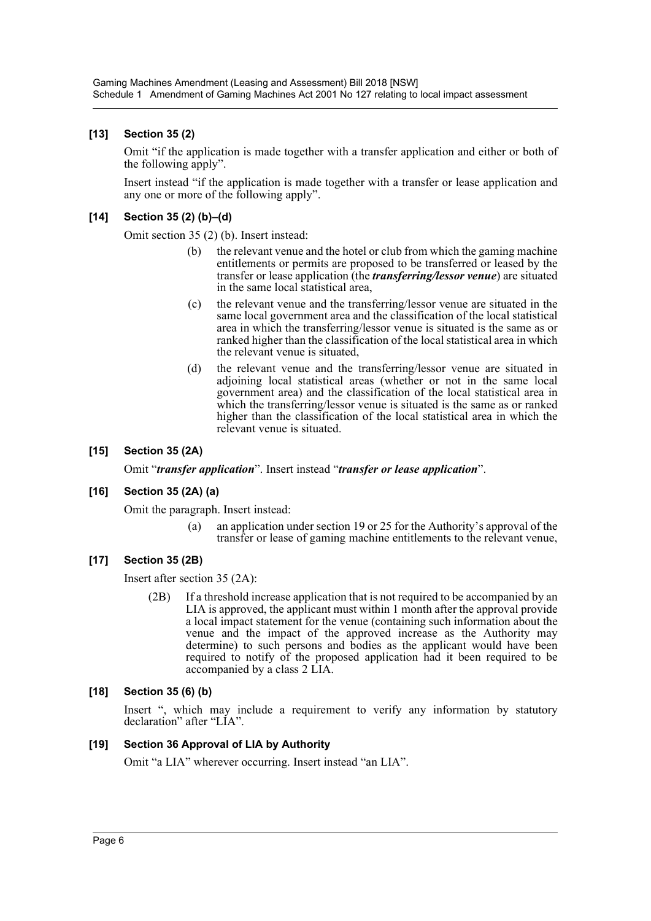# **[13] Section 35 (2)**

Omit "if the application is made together with a transfer application and either or both of the following apply".

Insert instead "if the application is made together with a transfer or lease application and any one or more of the following apply".

# **[14] Section 35 (2) (b)–(d)**

Omit section 35 (2) (b). Insert instead:

- (b) the relevant venue and the hotel or club from which the gaming machine entitlements or permits are proposed to be transferred or leased by the transfer or lease application (the *transferring/lessor venue*) are situated in the same local statistical area,
- (c) the relevant venue and the transferring/lessor venue are situated in the same local government area and the classification of the local statistical area in which the transferring/lessor venue is situated is the same as or ranked higher than the classification of the local statistical area in which the relevant venue is situated,
- (d) the relevant venue and the transferring/lessor venue are situated in adjoining local statistical areas (whether or not in the same local government area) and the classification of the local statistical area in which the transferring/lessor venue is situated is the same as or ranked higher than the classification of the local statistical area in which the relevant venue is situated.

### **[15] Section 35 (2A)**

Omit "*transfer application*". Insert instead "*transfer or lease application*".

# **[16] Section 35 (2A) (a)**

Omit the paragraph. Insert instead:

(a) an application under section 19 or 25 for the Authority's approval of the transfer or lease of gaming machine entitlements to the relevant venue,

# **[17] Section 35 (2B)**

Insert after section 35 (2A):

(2B) If a threshold increase application that is not required to be accompanied by an LIA is approved, the applicant must within 1 month after the approval provide a local impact statement for the venue (containing such information about the venue and the impact of the approved increase as the Authority may determine) to such persons and bodies as the applicant would have been required to notify of the proposed application had it been required to be accompanied by a class 2 LIA.

### **[18] Section 35 (6) (b)**

Insert ", which may include a requirement to verify any information by statutory declaration" after "LIA".

# **[19] Section 36 Approval of LIA by Authority**

Omit "a LIA" wherever occurring. Insert instead "an LIA".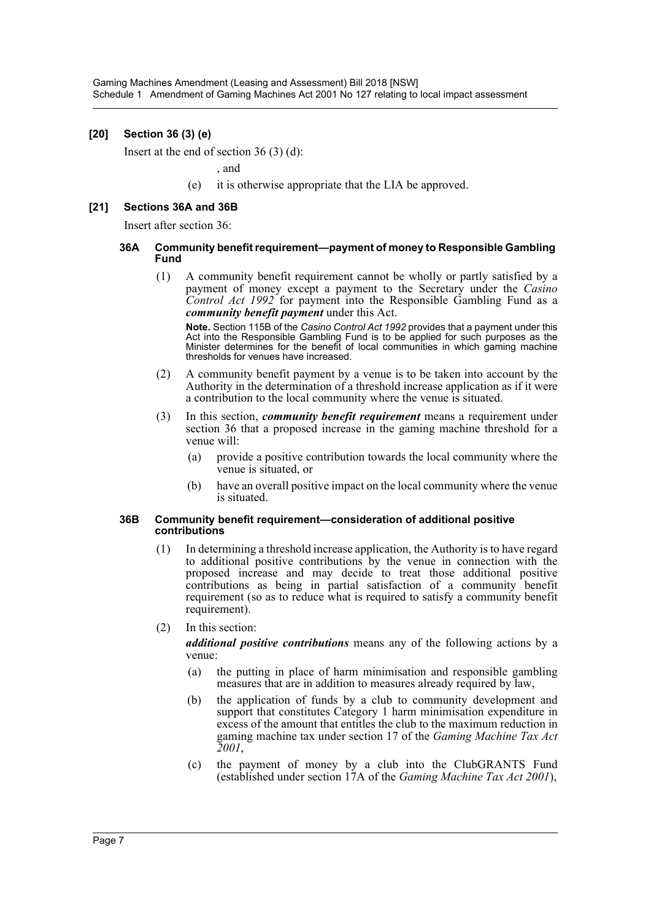### **[20] Section 36 (3) (e)**

Insert at the end of section 36 (3) (d):

, and

(e) it is otherwise appropriate that the LIA be approved.

### **[21] Sections 36A and 36B**

Insert after section 36:

#### **36A Community benefit requirement—payment of money to Responsible Gambling Fund**

(1) A community benefit requirement cannot be wholly or partly satisfied by a payment of money except a payment to the Secretary under the *Casino Control Act 1992* for payment into the Responsible Gambling Fund as a *community benefit payment* under this Act.

**Note.** Section 115B of the *Casino Control Act 1992* provides that a payment under this Act into the Responsible Gambling Fund is to be applied for such purposes as the Minister determines for the benefit of local communities in which gaming machine thresholds for venues have increased.

- (2) A community benefit payment by a venue is to be taken into account by the Authority in the determination of a threshold increase application as if it were a contribution to the local community where the venue is situated.
- (3) In this section, *community benefit requirement* means a requirement under section 36 that a proposed increase in the gaming machine threshold for a venue will:
	- (a) provide a positive contribution towards the local community where the venue is situated, or
	- (b) have an overall positive impact on the local community where the venue is situated.

#### **36B Community benefit requirement—consideration of additional positive contributions**

- (1) In determining a threshold increase application, the Authority is to have regard to additional positive contributions by the venue in connection with the proposed increase and may decide to treat those additional positive contributions as being in partial satisfaction of a community benefit requirement (so as to reduce what is required to satisfy a community benefit requirement).
- (2) In this section:

*additional positive contributions* means any of the following actions by a venue:

- (a) the putting in place of harm minimisation and responsible gambling measures that are in addition to measures already required by law,
- (b) the application of funds by a club to community development and support that constitutes Category 1 harm minimisation expenditure in excess of the amount that entitles the club to the maximum reduction in gaming machine tax under section 17 of the *Gaming Machine Tax Act 2001*,
- (c) the payment of money by a club into the ClubGRANTS Fund (established under section 17A of the *Gaming Machine Tax Act 2001*),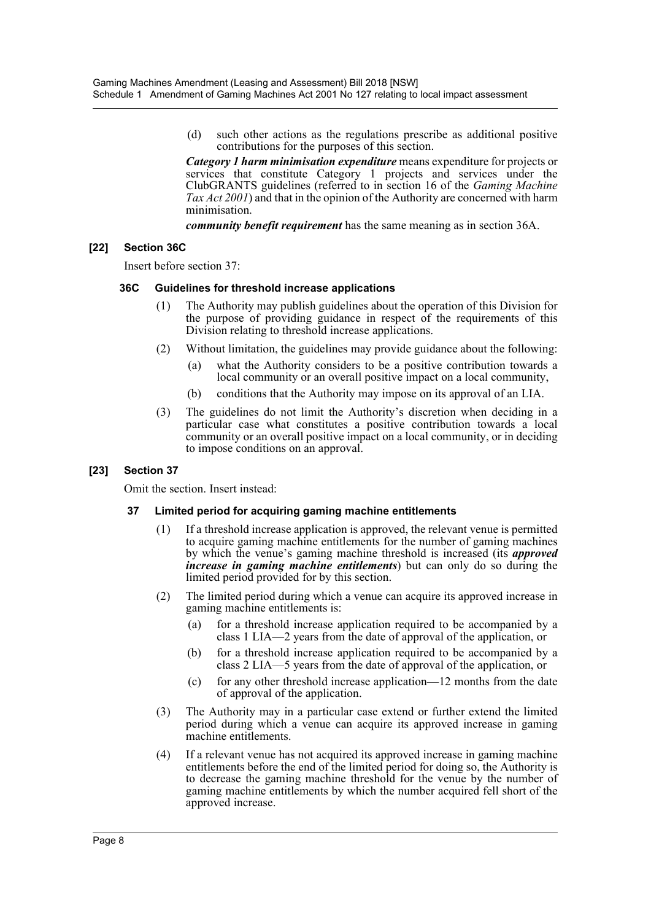(d) such other actions as the regulations prescribe as additional positive contributions for the purposes of this section.

*Category 1 harm minimisation expenditure* means expenditure for projects or services that constitute Category 1 projects and services under the ClubGRANTS guidelines (referred to in section 16 of the *Gaming Machine Tax Act 2001*) and that in the opinion of the Authority are concerned with harm minimisation.

*community benefit requirement* has the same meaning as in section 36A.

### **[22] Section 36C**

Insert before section 37:

### **36C Guidelines for threshold increase applications**

- (1) The Authority may publish guidelines about the operation of this Division for the purpose of providing guidance in respect of the requirements of this Division relating to threshold increase applications.
- (2) Without limitation, the guidelines may provide guidance about the following:
	- (a) what the Authority considers to be a positive contribution towards a local community or an overall positive impact on a local community,
	- (b) conditions that the Authority may impose on its approval of an LIA.
- (3) The guidelines do not limit the Authority's discretion when deciding in a particular case what constitutes a positive contribution towards a local community or an overall positive impact on a local community, or in deciding to impose conditions on an approval.

### **[23] Section 37**

Omit the section. Insert instead:

### **37 Limited period for acquiring gaming machine entitlements**

- (1) If a threshold increase application is approved, the relevant venue is permitted to acquire gaming machine entitlements for the number of gaming machines by which the venue's gaming machine threshold is increased (its *approved increase in gaming machine entitlements*) but can only do so during the limited period provided for by this section.
- (2) The limited period during which a venue can acquire its approved increase in gaming machine entitlements is:
	- (a) for a threshold increase application required to be accompanied by a class 1 LIA—2 years from the date of approval of the application, or
	- (b) for a threshold increase application required to be accompanied by a class 2 LIA—5 years from the date of approval of the application, or
	- (c) for any other threshold increase application—12 months from the date of approval of the application.
- (3) The Authority may in a particular case extend or further extend the limited period during which a venue can acquire its approved increase in gaming machine entitlements.
- (4) If a relevant venue has not acquired its approved increase in gaming machine entitlements before the end of the limited period for doing so, the Authority is to decrease the gaming machine threshold for the venue by the number of gaming machine entitlements by which the number acquired fell short of the approved increase.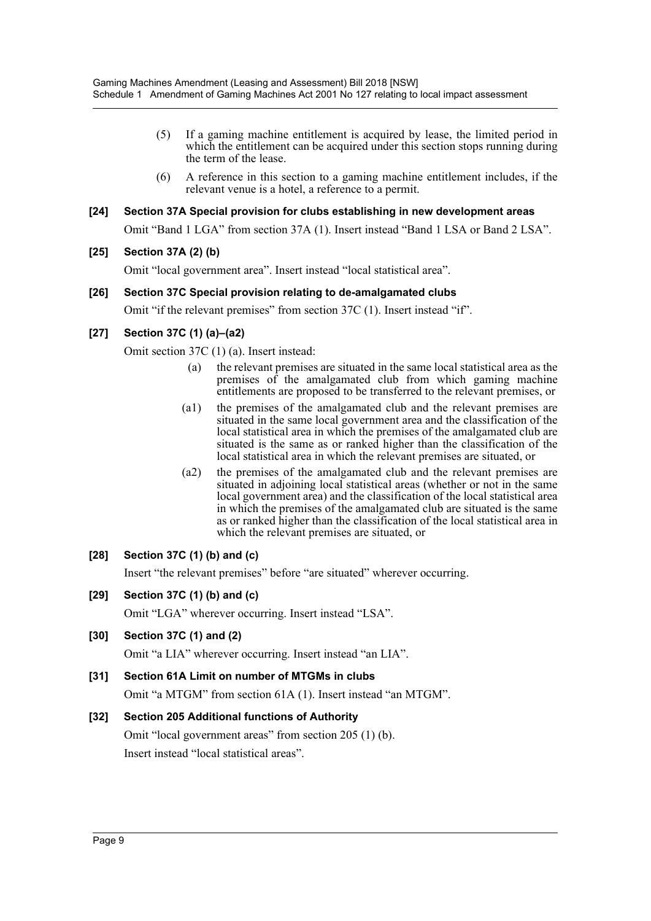- (5) If a gaming machine entitlement is acquired by lease, the limited period in which the entitlement can be acquired under this section stops running during the term of the lease.
- (6) A reference in this section to a gaming machine entitlement includes, if the relevant venue is a hotel, a reference to a permit.

### **[24] Section 37A Special provision for clubs establishing in new development areas**

Omit "Band 1 LGA" from section 37A (1). Insert instead "Band 1 LSA or Band 2 LSA".

### **[25] Section 37A (2) (b)**

Omit "local government area". Insert instead "local statistical area".

### **[26] Section 37C Special provision relating to de-amalgamated clubs**

Omit "if the relevant premises" from section 37C (1). Insert instead "if".

# **[27] Section 37C (1) (a)–(a2)**

Omit section 37C (1) (a). Insert instead:

- (a) the relevant premises are situated in the same local statistical area as the premises of the amalgamated club from which gaming machine entitlements are proposed to be transferred to the relevant premises, or
- (a1) the premises of the amalgamated club and the relevant premises are situated in the same local government area and the classification of the local statistical area in which the premises of the amalgamated club are situated is the same as or ranked higher than the classification of the local statistical area in which the relevant premises are situated, or
- (a2) the premises of the amalgamated club and the relevant premises are situated in adjoining local statistical areas (whether or not in the same local government area) and the classification of the local statistical area in which the premises of the amalgamated club are situated is the same as or ranked higher than the classification of the local statistical area in which the relevant premises are situated, or

# **[28] Section 37C (1) (b) and (c)**

Insert "the relevant premises" before "are situated" wherever occurring.

**[29] Section 37C (1) (b) and (c)**

Omit "LGA" wherever occurring. Insert instead "LSA".

**[30] Section 37C (1) and (2)**

Omit "a LIA" wherever occurring. Insert instead "an LIA".

**[31] Section 61A Limit on number of MTGMs in clubs** Omit "a MTGM" from section 61A (1). Insert instead "an MTGM".

# **[32] Section 205 Additional functions of Authority** Omit "local government areas" from section 205 (1) (b). Insert instead "local statistical areas".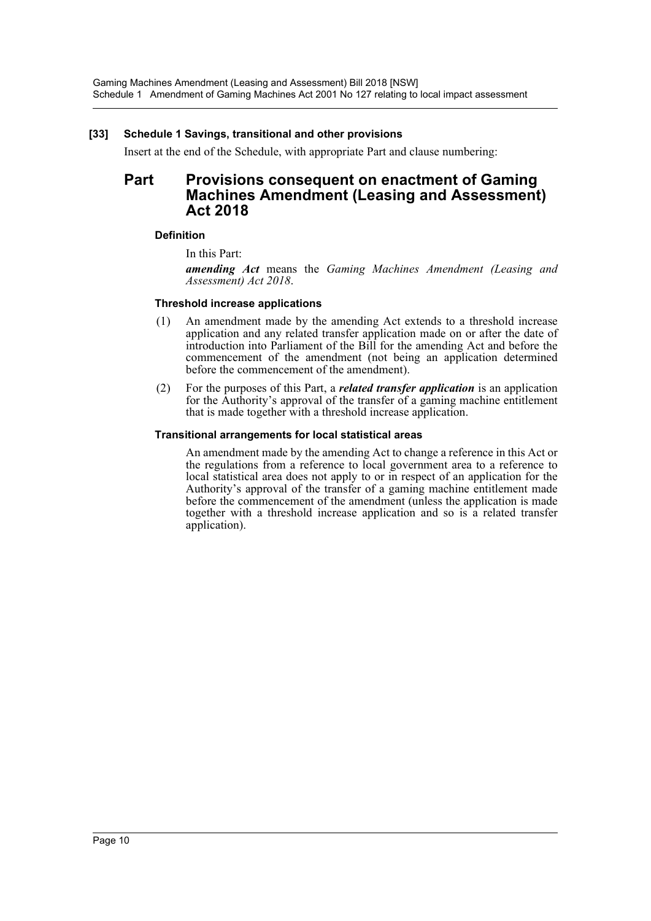### **[33] Schedule 1 Savings, transitional and other provisions**

Insert at the end of the Schedule, with appropriate Part and clause numbering:

# **Part Provisions consequent on enactment of Gaming Machines Amendment (Leasing and Assessment) Act 2018**

### **Definition**

In this Part:

*amending Act* means the *Gaming Machines Amendment (Leasing and Assessment) Act 2018*.

### **Threshold increase applications**

- (1) An amendment made by the amending Act extends to a threshold increase application and any related transfer application made on or after the date of introduction into Parliament of the Bill for the amending Act and before the commencement of the amendment (not being an application determined before the commencement of the amendment).
- (2) For the purposes of this Part, a *related transfer application* is an application for the Authority's approval of the transfer of a gaming machine entitlement that is made together with a threshold increase application.

#### **Transitional arrangements for local statistical areas**

An amendment made by the amending Act to change a reference in this Act or the regulations from a reference to local government area to a reference to local statistical area does not apply to or in respect of an application for the Authority's approval of the transfer of a gaming machine entitlement made before the commencement of the amendment (unless the application is made together with a threshold increase application and so is a related transfer application).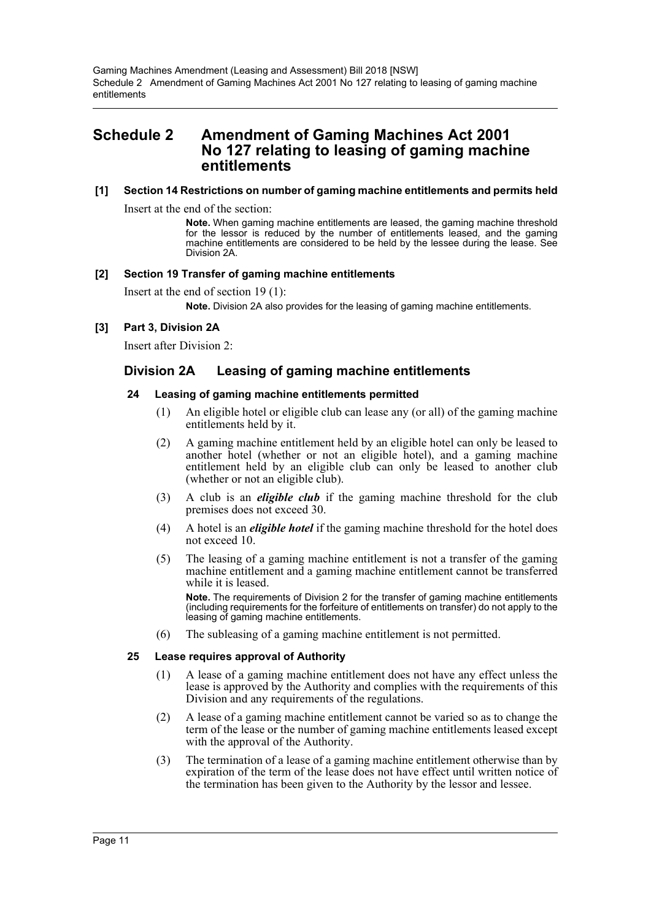# <span id="page-11-0"></span>**Schedule 2 Amendment of Gaming Machines Act 2001 No 127 relating to leasing of gaming machine entitlements**

### **[1] Section 14 Restrictions on number of gaming machine entitlements and permits held**

Insert at the end of the section:

**Note.** When gaming machine entitlements are leased, the gaming machine threshold for the lessor is reduced by the number of entitlements leased, and the gaming machine entitlements are considered to be held by the lessee during the lease. See Division 2A.

### **[2] Section 19 Transfer of gaming machine entitlements**

Insert at the end of section 19 (1):

**Note.** Division 2A also provides for the leasing of gaming machine entitlements.

### **[3] Part 3, Division 2A**

Insert after Division 2:

# **Division 2A Leasing of gaming machine entitlements**

### **24 Leasing of gaming machine entitlements permitted**

- (1) An eligible hotel or eligible club can lease any (or all) of the gaming machine entitlements held by it.
- (2) A gaming machine entitlement held by an eligible hotel can only be leased to another hotel (whether or not an eligible hotel), and a gaming machine entitlement held by an eligible club can only be leased to another club (whether or not an eligible club).
- (3) A club is an *eligible club* if the gaming machine threshold for the club premises does not exceed 30.
- (4) A hotel is an *eligible hotel* if the gaming machine threshold for the hotel does not exceed 10.
- (5) The leasing of a gaming machine entitlement is not a transfer of the gaming machine entitlement and a gaming machine entitlement cannot be transferred while it is leased.

**Note.** The requirements of Division 2 for the transfer of gaming machine entitlements (including requirements for the forfeiture of entitlements on transfer) do not apply to the leasing of gaming machine entitlements.

(6) The subleasing of a gaming machine entitlement is not permitted.

### **25 Lease requires approval of Authority**

- (1) A lease of a gaming machine entitlement does not have any effect unless the lease is approved by the Authority and complies with the requirements of this Division and any requirements of the regulations.
- (2) A lease of a gaming machine entitlement cannot be varied so as to change the term of the lease or the number of gaming machine entitlements leased except with the approval of the Authority.
- (3) The termination of a lease of a gaming machine entitlement otherwise than by expiration of the term of the lease does not have effect until written notice of the termination has been given to the Authority by the lessor and lessee.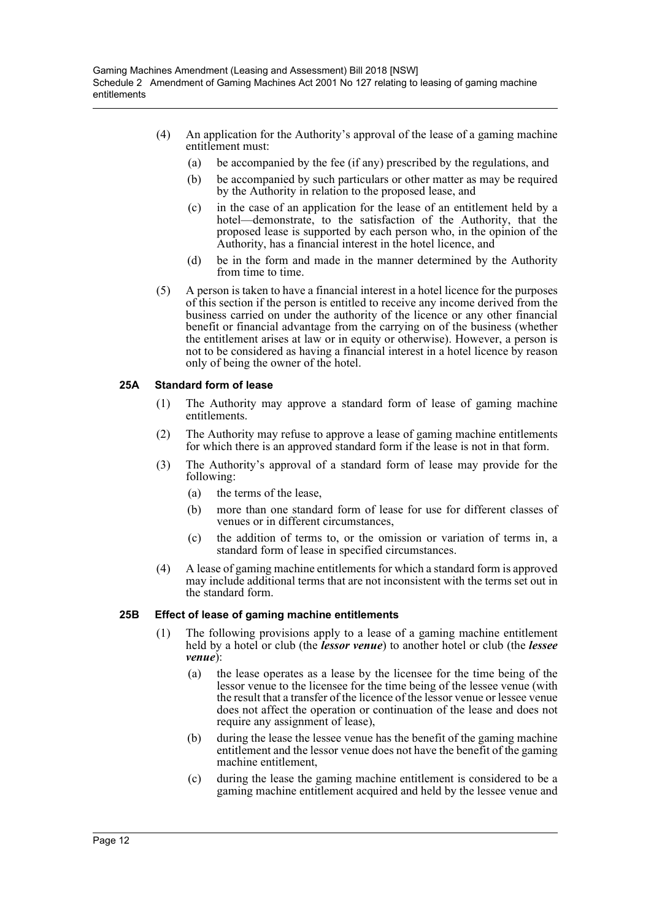- (4) An application for the Authority's approval of the lease of a gaming machine entitlement must:
	- (a) be accompanied by the fee (if any) prescribed by the regulations, and
	- (b) be accompanied by such particulars or other matter as may be required by the Authority in relation to the proposed lease, and
	- (c) in the case of an application for the lease of an entitlement held by a hotel—demonstrate, to the satisfaction of the Authority, that the proposed lease is supported by each person who, in the opinion of the Authority, has a financial interest in the hotel licence, and
	- (d) be in the form and made in the manner determined by the Authority from time to time.
- (5) A person is taken to have a financial interest in a hotel licence for the purposes of this section if the person is entitled to receive any income derived from the business carried on under the authority of the licence or any other financial benefit or financial advantage from the carrying on of the business (whether the entitlement arises at law or in equity or otherwise). However, a person is not to be considered as having a financial interest in a hotel licence by reason only of being the owner of the hotel.

### **25A Standard form of lease**

- (1) The Authority may approve a standard form of lease of gaming machine entitlements.
- (2) The Authority may refuse to approve a lease of gaming machine entitlements for which there is an approved standard form if the lease is not in that form.
- (3) The Authority's approval of a standard form of lease may provide for the following:
	- (a) the terms of the lease,
	- (b) more than one standard form of lease for use for different classes of venues or in different circumstances,
	- (c) the addition of terms to, or the omission or variation of terms in, a standard form of lease in specified circumstances.
- (4) A lease of gaming machine entitlements for which a standard form is approved may include additional terms that are not inconsistent with the terms set out in the standard form.

### **25B Effect of lease of gaming machine entitlements**

- (1) The following provisions apply to a lease of a gaming machine entitlement held by a hotel or club (the *lessor venue*) to another hotel or club (the *lessee venue*):
	- (a) the lease operates as a lease by the licensee for the time being of the lessor venue to the licensee for the time being of the lessee venue (with the result that a transfer of the licence of the lessor venue or lessee venue does not affect the operation or continuation of the lease and does not require any assignment of lease),
	- (b) during the lease the lessee venue has the benefit of the gaming machine entitlement and the lessor venue does not have the benefit of the gaming machine entitlement,
	- (c) during the lease the gaming machine entitlement is considered to be a gaming machine entitlement acquired and held by the lessee venue and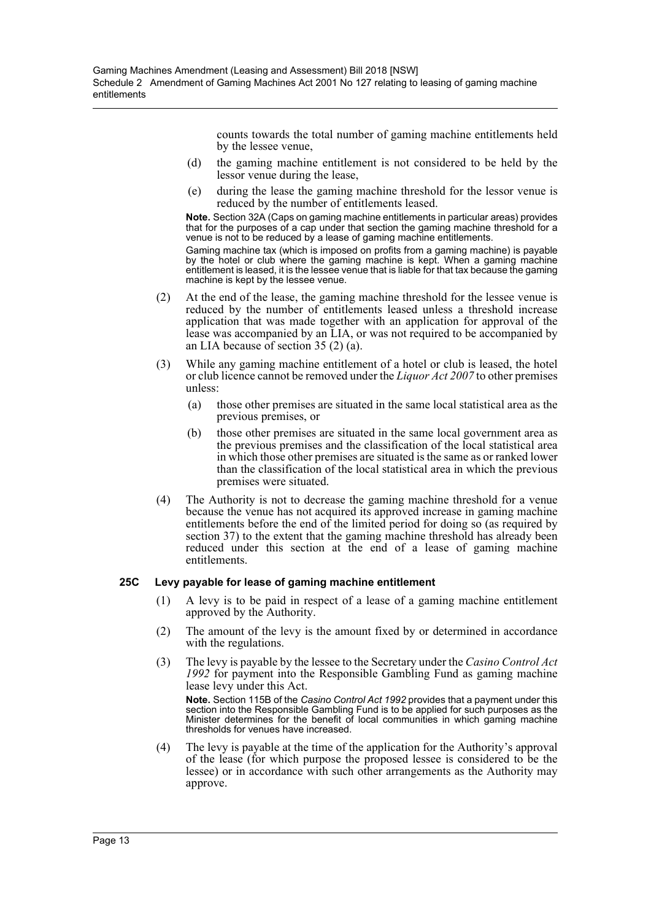counts towards the total number of gaming machine entitlements held by the lessee venue,

- (d) the gaming machine entitlement is not considered to be held by the lessor venue during the lease,
- (e) during the lease the gaming machine threshold for the lessor venue is reduced by the number of entitlements leased.

**Note.** Section 32A (Caps on gaming machine entitlements in particular areas) provides that for the purposes of a cap under that section the gaming machine threshold for a venue is not to be reduced by a lease of gaming machine entitlements.

Gaming machine tax (which is imposed on profits from a gaming machine) is payable by the hotel or club where the gaming machine is kept. When a gaming machine entitlement is leased, it is the lessee venue that is liable for that tax because the gaming machine is kept by the lessee venue.

- (2) At the end of the lease, the gaming machine threshold for the lessee venue is reduced by the number of entitlements leased unless a threshold increase application that was made together with an application for approval of the lease was accompanied by an LIA, or was not required to be accompanied by an LIA because of section 35 (2) (a).
- (3) While any gaming machine entitlement of a hotel or club is leased, the hotel or club licence cannot be removed under the *Liquor Act 2007* to other premises unless:
	- (a) those other premises are situated in the same local statistical area as the previous premises, or
	- (b) those other premises are situated in the same local government area as the previous premises and the classification of the local statistical area in which those other premises are situated is the same as or ranked lower than the classification of the local statistical area in which the previous premises were situated.
- (4) The Authority is not to decrease the gaming machine threshold for a venue because the venue has not acquired its approved increase in gaming machine entitlements before the end of the limited period for doing so (as required by section 37) to the extent that the gaming machine threshold has already been reduced under this section at the end of a lease of gaming machine entitlements.

### **25C Levy payable for lease of gaming machine entitlement**

- (1) A levy is to be paid in respect of a lease of a gaming machine entitlement approved by the Authority.
- (2) The amount of the levy is the amount fixed by or determined in accordance with the regulations.
- (3) The levy is payable by the lessee to the Secretary under the *Casino Control Act 1992* for payment into the Responsible Gambling Fund as gaming machine lease levy under this Act.

**Note.** Section 115B of the *Casino Control Act 1992* provides that a payment under this section into the Responsible Gambling Fund is to be applied for such purposes as the Minister determines for the benefit of local communities in which gaming machine thresholds for venues have increased.

(4) The levy is payable at the time of the application for the Authority's approval of the lease (for which purpose the proposed lessee is considered to be the lessee) or in accordance with such other arrangements as the Authority may approve.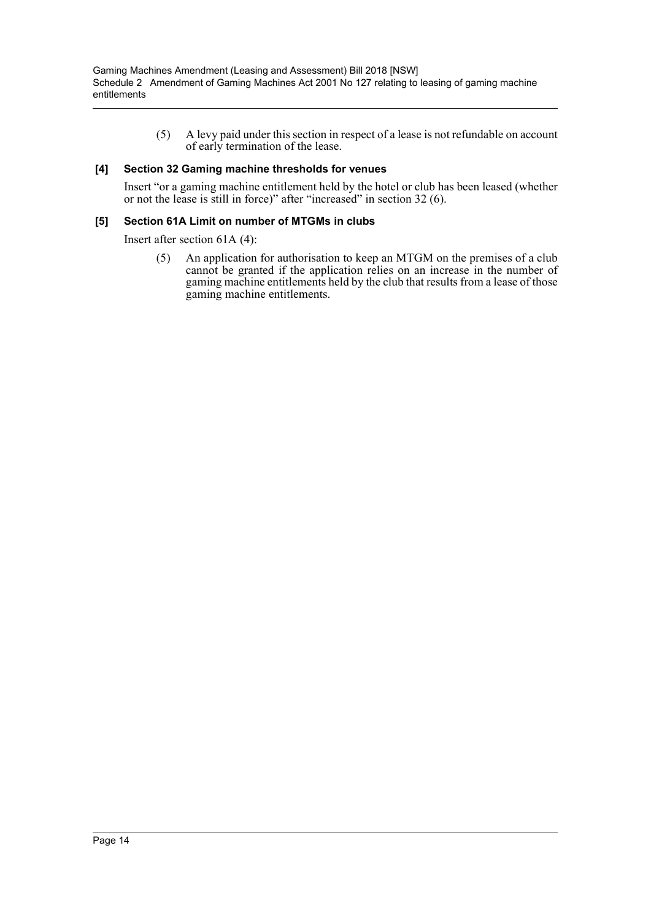(5) A levy paid under this section in respect of a lease is not refundable on account of early termination of the lease.

### **[4] Section 32 Gaming machine thresholds for venues**

Insert "or a gaming machine entitlement held by the hotel or club has been leased (whether or not the lease is still in force)" after "increased" in section 32 (6).

### **[5] Section 61A Limit on number of MTGMs in clubs**

Insert after section 61A (4):

(5) An application for authorisation to keep an MTGM on the premises of a club cannot be granted if the application relies on an increase in the number of gaming machine entitlements held by the club that results from a lease of those gaming machine entitlements.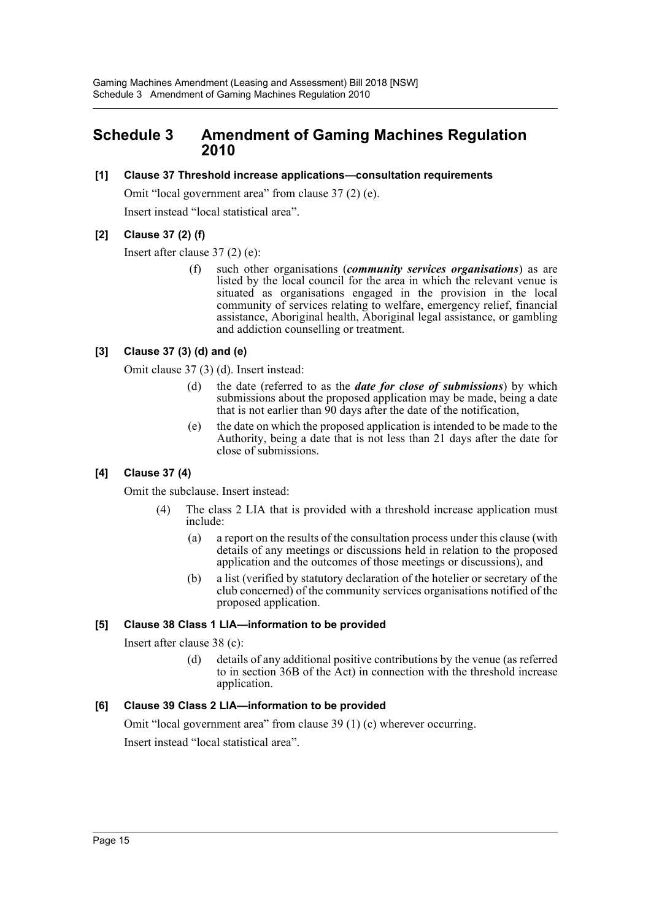# <span id="page-15-0"></span>**Schedule 3 Amendment of Gaming Machines Regulation 2010**

### **[1] Clause 37 Threshold increase applications—consultation requirements**

Omit "local government area" from clause 37 (2) (e).

Insert instead "local statistical area".

# **[2] Clause 37 (2) (f)**

Insert after clause 37 (2) (e):

(f) such other organisations (*community services organisations*) as are listed by the local council for the area in which the relevant venue is situated as organisations engaged in the provision in the local community of services relating to welfare, emergency relief, financial assistance, Aboriginal health, Aboriginal legal assistance, or gambling and addiction counselling or treatment.

# **[3] Clause 37 (3) (d) and (e)**

Omit clause 37 (3) (d). Insert instead:

- (d) the date (referred to as the *date for close of submissions*) by which submissions about the proposed application may be made, being a date that is not earlier than 90 days after the date of the notification,
- (e) the date on which the proposed application is intended to be made to the Authority, being a date that is not less than 21 days after the date for close of submissions.

# **[4] Clause 37 (4)**

Omit the subclause. Insert instead:

- (4) The class 2 LIA that is provided with a threshold increase application must include:
	- (a) a report on the results of the consultation process under this clause (with details of any meetings or discussions held in relation to the proposed application and the outcomes of those meetings or discussions), and
	- (b) a list (verified by statutory declaration of the hotelier or secretary of the club concerned) of the community services organisations notified of the proposed application.

# **[5] Clause 38 Class 1 LIA—information to be provided**

Insert after clause 38 (c):

(d) details of any additional positive contributions by the venue (as referred to in section 36B of the Act) in connection with the threshold increase application.

# **[6] Clause 39 Class 2 LIA—information to be provided**

Omit "local government area" from clause 39 (1) (c) wherever occurring. Insert instead "local statistical area".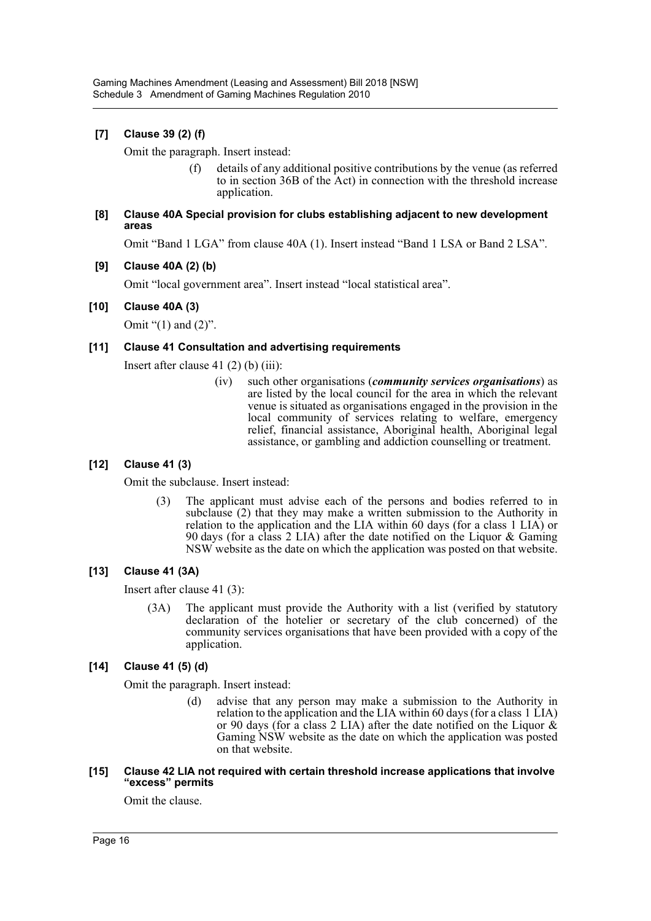# **[7] Clause 39 (2) (f)**

Omit the paragraph. Insert instead:

(f) details of any additional positive contributions by the venue (as referred to in section 36B of the Act) in connection with the threshold increase application.

### **[8] Clause 40A Special provision for clubs establishing adjacent to new development areas**

Omit "Band 1 LGA" from clause 40A (1). Insert instead "Band 1 LSA or Band 2 LSA".

### **[9] Clause 40A (2) (b)**

Omit "local government area". Insert instead "local statistical area".

### **[10] Clause 40A (3)**

Omit " $(1)$  and  $(2)$ ".

### **[11] Clause 41 Consultation and advertising requirements**

Insert after clause  $41(2)(b)$  (iii):

(iv) such other organisations (*community services organisations*) as are listed by the local council for the area in which the relevant venue is situated as organisations engaged in the provision in the local community of services relating to welfare, emergency relief, financial assistance, Aboriginal health, Aboriginal legal assistance, or gambling and addiction counselling or treatment.

# **[12] Clause 41 (3)**

Omit the subclause. Insert instead:

(3) The applicant must advise each of the persons and bodies referred to in subclause (2) that they may make a written submission to the Authority in relation to the application and the LIA within 60 days (for a class 1 LIA) or 90 days (for a class 2 LIA) after the date notified on the Liquor & Gaming NSW website as the date on which the application was posted on that website.

# **[13] Clause 41 (3A)**

Insert after clause 41 (3):

(3A) The applicant must provide the Authority with a list (verified by statutory declaration of the hotelier or secretary of the club concerned) of the community services organisations that have been provided with a copy of the application.

# **[14] Clause 41 (5) (d)**

Omit the paragraph. Insert instead:

(d) advise that any person may make a submission to the Authority in relation to the application and the LIA within 60 days (for a class 1 LIA) or 90 days (for a class 2 LIA) after the date notified on the Liquor  $\&$ Gaming NSW website as the date on which the application was posted on that website.

### **[15] Clause 42 LIA not required with certain threshold increase applications that involve "excess" permits**

Omit the clause.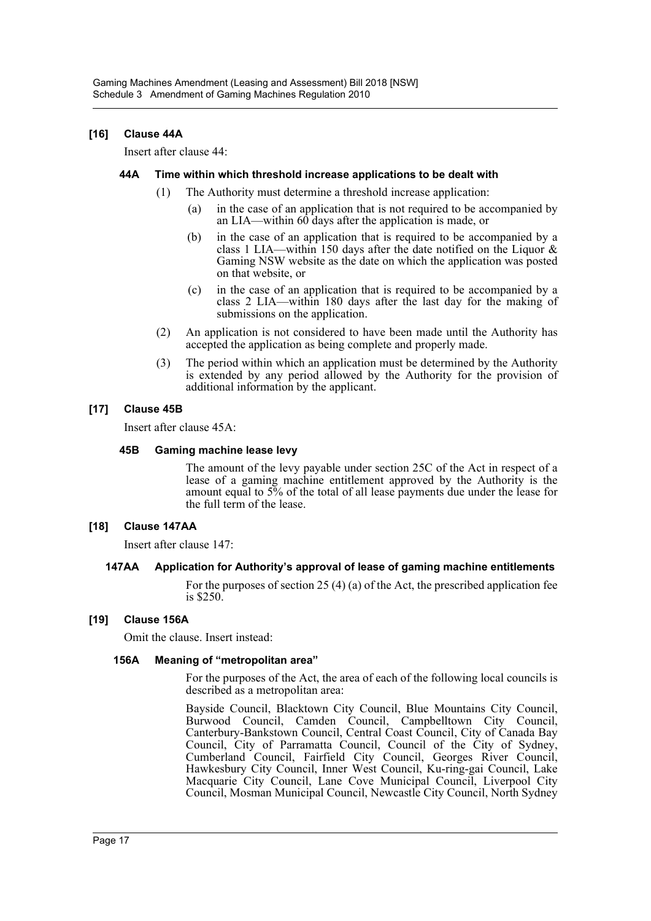### **[16] Clause 44A**

Insert after clause 44:

### **44A Time within which threshold increase applications to be dealt with**

- (1) The Authority must determine a threshold increase application:
	- (a) in the case of an application that is not required to be accompanied by an LIA—within 60 days after the application is made, or
	- (b) in the case of an application that is required to be accompanied by a class 1 LIA—within 150 days after the date notified on the Liquor & Gaming NSW website as the date on which the application was posted on that website, or
	- (c) in the case of an application that is required to be accompanied by a class 2 LIA—within 180 days after the last day for the making of submissions on the application.
- (2) An application is not considered to have been made until the Authority has accepted the application as being complete and properly made.
- (3) The period within which an application must be determined by the Authority is extended by any period allowed by the Authority for the provision of additional information by the applicant.

### **[17] Clause 45B**

Insert after clause 45A:

### **45B Gaming machine lease levy**

The amount of the levy payable under section 25C of the Act in respect of a lease of a gaming machine entitlement approved by the Authority is the amount equal to 5% of the total of all lease payments due under the lease for the full term of the lease.

### **[18] Clause 147AA**

Insert after clause 147:

### **147AA Application for Authority's approval of lease of gaming machine entitlements**

For the purposes of section 25 (4) (a) of the Act, the prescribed application fee is \$250.

### **[19] Clause 156A**

Omit the clause. Insert instead:

### **156A Meaning of "metropolitan area"**

For the purposes of the Act, the area of each of the following local councils is described as a metropolitan area:

Bayside Council, Blacktown City Council, Blue Mountains City Council, Burwood Council, Camden Council, Campbelltown City Council, Canterbury-Bankstown Council, Central Coast Council, City of Canada Bay Council, City of Parramatta Council, Council of the City of Sydney, Cumberland Council, Fairfield City Council, Georges River Council, Hawkesbury City Council, Inner West Council, Ku-ring-gai Council, Lake Macquarie City Council, Lane Cove Municipal Council, Liverpool City Council, Mosman Municipal Council, Newcastle City Council, North Sydney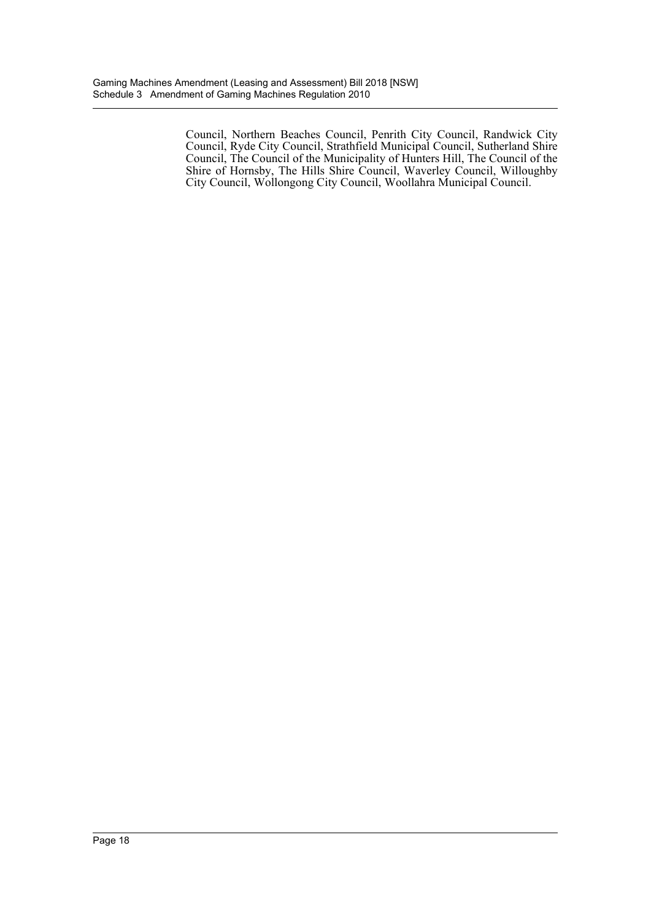Council, Northern Beaches Council, Penrith City Council, Randwick City Council, Ryde City Council, Strathfield Municipal Council, Sutherland Shire Council, The Council of the Municipality of Hunters Hill, The Council of the Shire of Hornsby, The Hills Shire Council, Waverley Council, Willoughby City Council, Wollongong City Council, Woollahra Municipal Council.